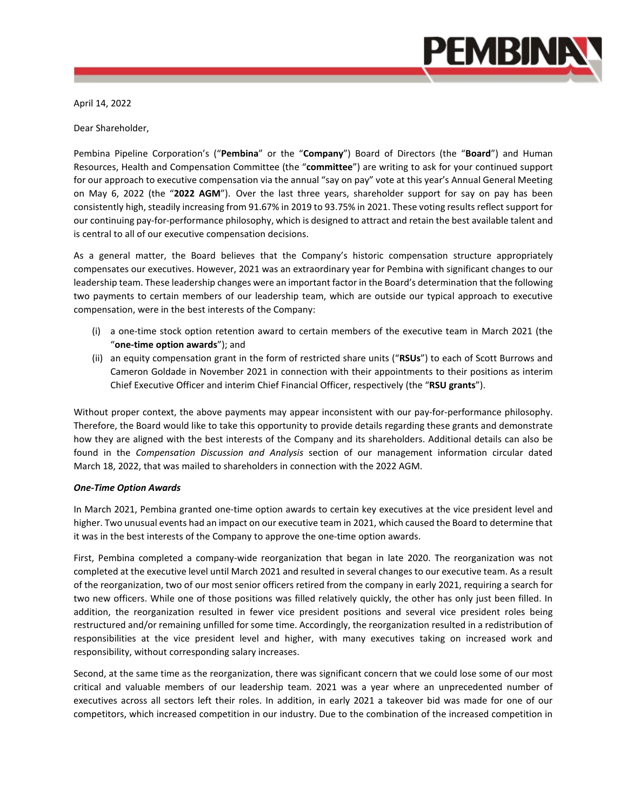

April 14, 2022

Dear Shareholder,

Pembina Pipeline Corporation's ("**Pembina**" or the "**Company**") Board of Directors (the "**Board**") and Human Resources, Health and Compensation Committee (the "**committee**") are writing to ask for your continued support for our approach to executive compensation via the annual "say on pay" vote at this year's Annual General Meeting on May 6, 2022 (the "**2022 AGM**"). Over the last three years, shareholder support for say on pay has been consistently high, steadily increasing from 91.67% in 2019 to 93.75% in 2021. These voting results reflect support for our continuing pay-for-performance philosophy, which is designed to attract and retain the best available talent and is central to all of our executive compensation decisions.

As a general matter, the Board believes that the Company's historic compensation structure appropriately compensates our executives. However, 2021 was an extraordinary year for Pembina with significant changes to our leadership team. These leadership changes were an important factor in the Board's determination that the following two payments to certain members of our leadership team, which are outside our typical approach to executive compensation, were in the best interests of the Company:

- (i) a one-time stock option retention award to certain members of the executive team in March 2021 (the "**one-time option awards**"); and
- (ii) an equity compensation grant in the form of restricted share units ("**RSUs**") to each of Scott Burrows and Cameron Goldade in November 2021 in connection with their appointments to their positions as interim Chief Executive Officer and interim Chief Financial Officer, respectively (the "**RSU grants**").

Without proper context, the above payments may appear inconsistent with our pay-for-performance philosophy. Therefore, the Board would like to take this opportunity to provide details regarding these grants and demonstrate how they are aligned with the best interests of the Company and its shareholders. Additional details can also be found in the *Compensation Discussion and Analysis* section of our management information circular dated March 18, 2022, that was mailed to shareholders in connection with the 2022 AGM.

## *One-Time Option Awards*

In March 2021, Pembina granted one-time option awards to certain key executives at the vice president level and higher. Two unusual events had an impact on our executive team in 2021, which caused the Board to determine that it was in the best interests of the Company to approve the one-time option awards.

First, Pembina completed a company-wide reorganization that began in late 2020. The reorganization was not completed at the executive level until March 2021 and resulted in several changes to our executive team. As a result of the reorganization, two of our most senior officers retired from the company in early 2021, requiring a search for two new officers. While one of those positions was filled relatively quickly, the other has only just been filled. In addition, the reorganization resulted in fewer vice president positions and several vice president roles being restructured and/or remaining unfilled for some time. Accordingly, the reorganization resulted in a redistribution of responsibilities at the vice president level and higher, with many executives taking on increased work and responsibility, without corresponding salary increases.

Second, at the same time as the reorganization, there was significant concern that we could lose some of our most critical and valuable members of our leadership team. 2021 was a year where an unprecedented number of executives across all sectors left their roles. In addition, in early 2021 a takeover bid was made for one of our competitors, which increased competition in our industry. Due to the combination of the increased competition in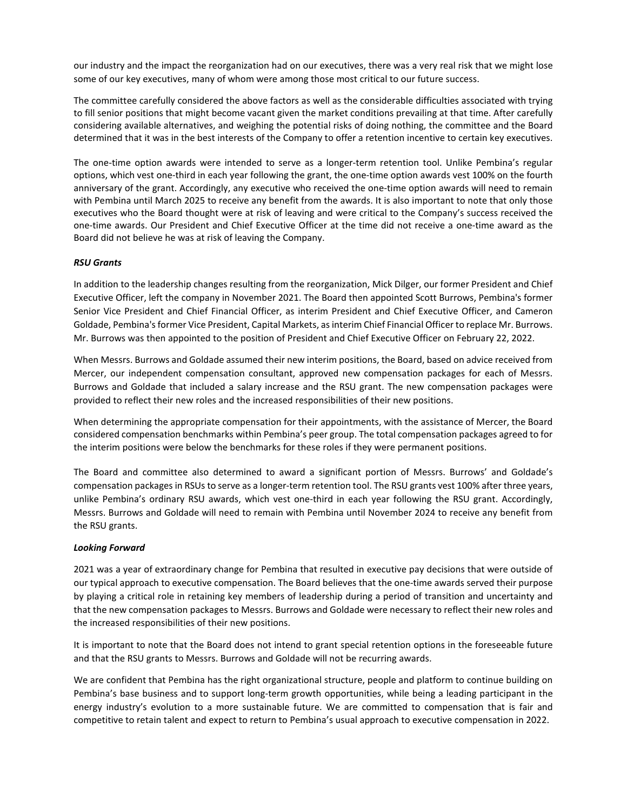our industry and the impact the reorganization had on our executives, there was a very real risk that we might lose some of our key executives, many of whom were among those most critical to our future success.

The committee carefully considered the above factors as well as the considerable difficulties associated with trying to fill senior positions that might become vacant given the market conditions prevailing at that time. After carefully considering available alternatives, and weighing the potential risks of doing nothing, the committee and the Board determined that it was in the best interests of the Company to offer a retention incentive to certain key executives.

The one-time option awards were intended to serve as a longer-term retention tool. Unlike Pembina's regular options, which vest one-third in each year following the grant, the one-time option awards vest 100% on the fourth anniversary of the grant. Accordingly, any executive who received the one-time option awards will need to remain with Pembina until March 2025 to receive any benefit from the awards. It is also important to note that only those executives who the Board thought were at risk of leaving and were critical to the Company's success received the one-time awards. Our President and Chief Executive Officer at the time did not receive a one-time award as the Board did not believe he was at risk of leaving the Company.

## *RSU Grants*

In addition to the leadership changes resulting from the reorganization, Mick Dilger, our former President and Chief Executive Officer, left the company in November 2021. The Board then appointed Scott Burrows, Pembina's former Senior Vice President and Chief Financial Officer, as interim President and Chief Executive Officer, and Cameron Goldade, Pembina's former Vice President, Capital Markets, as interim Chief Financial Officer to replace Mr. Burrows. Mr. Burrows was then appointed to the position of President and Chief Executive Officer on February 22, 2022.

When Messrs. Burrows and Goldade assumed their new interim positions, the Board, based on advice received from Mercer, our independent compensation consultant, approved new compensation packages for each of Messrs. Burrows and Goldade that included a salary increase and the RSU grant. The new compensation packages were provided to reflect their new roles and the increased responsibilities of their new positions.

When determining the appropriate compensation for their appointments, with the assistance of Mercer, the Board considered compensation benchmarks within Pembina's peer group. The total compensation packages agreed to for the interim positions were below the benchmarks for these roles if they were permanent positions.

The Board and committee also determined to award a significant portion of Messrs. Burrows' and Goldade's compensation packages in RSUs to serve as a longer-term retention tool. The RSU grants vest 100% after three years, unlike Pembina's ordinary RSU awards, which vest one-third in each year following the RSU grant. Accordingly, Messrs. Burrows and Goldade will need to remain with Pembina until November 2024 to receive any benefit from the RSU grants.

## *Looking Forward*

2021 was a year of extraordinary change for Pembina that resulted in executive pay decisions that were outside of our typical approach to executive compensation. The Board believes that the one-time awards served their purpose by playing a critical role in retaining key members of leadership during a period of transition and uncertainty and that the new compensation packages to Messrs. Burrows and Goldade were necessary to reflect their new roles and the increased responsibilities of their new positions.

It is important to note that the Board does not intend to grant special retention options in the foreseeable future and that the RSU grants to Messrs. Burrows and Goldade will not be recurring awards.

We are confident that Pembina has the right organizational structure, people and platform to continue building on Pembina's base business and to support long-term growth opportunities, while being a leading participant in the energy industry's evolution to a more sustainable future. We are committed to compensation that is fair and competitive to retain talent and expect to return to Pembina's usual approach to executive compensation in 2022.